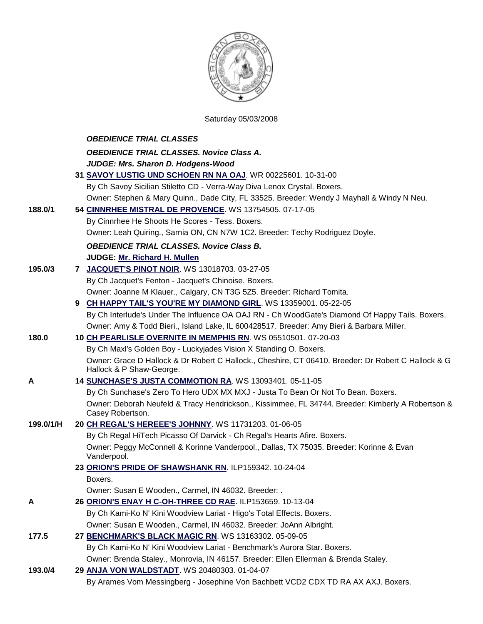

## Saturday 05/03/2008

|           | <b>OBEDIENCE TRIAL CLASSES</b>                                                                                                  |
|-----------|---------------------------------------------------------------------------------------------------------------------------------|
|           | <b>OBEDIENCE TRIAL CLASSES. Novice Class A.</b>                                                                                 |
|           | JUDGE: Mrs. Sharon D. Hodgens-Wood                                                                                              |
|           | 31 SAVOY LUSTIG UND SCHOEN RN NA OAJ. WR 00225601. 10-31-00                                                                     |
|           | By Ch Savoy Sicilian Stiletto CD - Verra-Way Diva Lenox Crystal. Boxers.                                                        |
|           | Owner: Stephen & Mary Quinn., Dade City, FL 33525. Breeder: Wendy J Mayhall & Windy N Neu.                                      |
| 188.0/1   | 54 CINNRHEE MISTRAL DE PROVENCE. WS 13754505. 07-17-05                                                                          |
|           | By Cinnrhee He Shoots He Scores - Tess. Boxers.                                                                                 |
|           | Owner: Leah Quiring., Sarnia ON, CN N7W 1C2. Breeder: Techy Rodriguez Doyle.                                                    |
|           | <b>OBEDIENCE TRIAL CLASSES. Novice Class B.</b>                                                                                 |
|           | JUDGE: Mr. Richard H. Mullen                                                                                                    |
| 195.0/3   | 7 JACQUET'S PINOT NOIR. WS 13018703. 03-27-05                                                                                   |
|           | By Ch Jacquet's Fenton - Jacquet's Chinoise. Boxers.                                                                            |
|           | Owner: Joanne M Klauer., Calgary, CN T3G 5Z5. Breeder: Richard Tomita.                                                          |
|           | 9 CH HAPPY TAIL'S YOU'RE MY DIAMOND GIRL. WS 13359001. 05-22-05                                                                 |
|           | By Ch Interlude's Under The Influence OA OAJ RN - Ch WoodGate's Diamond Of Happy Tails. Boxers.                                 |
|           | Owner: Amy & Todd Bieri., Island Lake, IL 600428517. Breeder: Amy Bieri & Barbara Miller.                                       |
| 180.0     | 10 CH PEARLISLE OVERNITE IN MEMPHIS RN. WS 05510501. 07-20-03                                                                   |
|           | By Ch Maxl's Golden Boy - Luckyjades Vision X Standing O. Boxers.                                                               |
|           | Owner: Grace D Hallock & Dr Robert C Hallock., Cheshire, CT 06410. Breeder: Dr Robert C Hallock & G<br>Hallock & P Shaw-George. |
| A         | 14 SUNCHASE'S JUSTA COMMOTION RA. WS 13093401. 05-11-05                                                                         |
|           | By Ch Sunchase's Zero To Hero UDX MX MXJ - Justa To Bean Or Not To Bean. Boxers.                                                |
|           | Owner: Deborah Neufeld & Tracy Hendrickson., Kissimmee, FL 34744. Breeder: Kimberly A Robertson &<br>Casey Robertson.           |
| 199.0/1/H | 20 CH REGAL'S HEREEE'S JOHNNY. WS 11731203. 01-06-05                                                                            |
|           | By Ch Regal HiTech Picasso Of Darvick - Ch Regal's Hearts Afire. Boxers.                                                        |
|           | Owner: Peggy McConnell & Korinne Vanderpool., Dallas, TX 75035. Breeder: Korinne & Evan<br>Vanderpool.                          |
|           | 23 ORION'S PRIDE OF SHAWSHANK RN. ILP159342. 10-24-04                                                                           |
|           | Boxers.                                                                                                                         |
|           | Owner: Susan E Wooden., Carmel, IN 46032. Breeder: .                                                                            |
| A         | 26 ORION'S ENAY H C-OH-THREE CD RAE. ILP153659. 10-13-04                                                                        |
|           | By Ch Kami-Ko N' Kini Woodview Lariat - Higo's Total Effects. Boxers.                                                           |
|           | Owner: Susan E Wooden., Carmel, IN 46032. Breeder: JoAnn Albright.                                                              |
| 177.5     | 27 BENCHMARK'S BLACK MAGIC RN. WS 13163302. 05-09-05                                                                            |
|           | By Ch Kami-Ko N' Kini Woodview Lariat - Benchmark's Aurora Star. Boxers.                                                        |
|           | Owner: Brenda Staley., Monrovia, IN 46157. Breeder: Ellen Ellerman & Brenda Staley.                                             |
| 193.0/4   | 29 ANJA VON WALDSTADT. WS 20480303. 01-04-07                                                                                    |
|           | By Arames Vom Messingberg - Josephine Von Bachbett VCD2 CDX TD RA AX AXJ. Boxers.                                               |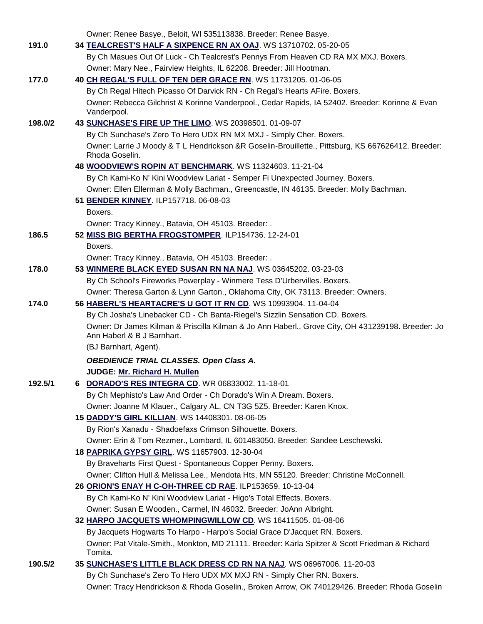|         | Owner: Renee Basye., Beloit, WI 535113838. Breeder: Renee Basye.                                                                |
|---------|---------------------------------------------------------------------------------------------------------------------------------|
| 191.0   | 34 TEALCREST'S HALF A SIXPENCE RN AX OAJ. WS 13710702. 05-20-05                                                                 |
|         | By Ch Masues Out Of Luck - Ch Tealcrest's Pennys From Heaven CD RA MX MXJ. Boxers.                                              |
|         | Owner: Mary Nee., Fairview Heights, IL 62208. Breeder: Jill Hootman.                                                            |
| 177.0   | 40 CH REGAL'S FULL OF TEN DER GRACE RN. WS 11731205. 01-06-05                                                                   |
|         | By Ch Regal Hitech Picasso Of Darvick RN - Ch Regal's Hearts AFire. Boxers.                                                     |
|         | Owner: Rebecca Gilchrist & Korinne Vanderpool., Cedar Rapids, IA 52402. Breeder: Korinne & Evan<br>Vanderpool.                  |
| 198.0/2 | 43 SUNCHASE'S FIRE UP THE LIMO. WS 20398501. 01-09-07                                                                           |
|         | By Ch Sunchase's Zero To Hero UDX RN MX MXJ - Simply Cher. Boxers.                                                              |
|         | Owner: Larrie J Moody & T L Hendrickson &R Goselin-Brouillette., Pittsburg, KS 667626412. Breeder:<br>Rhoda Goselin.            |
|         | 48 WOODVIEW'S ROPIN AT BENCHMARK. WS 11324603. 11-21-04                                                                         |
|         | By Ch Kami-Ko N' Kini Woodview Lariat - Semper Fi Unexpected Journey. Boxers.                                                   |
|         | Owner: Ellen Ellerman & Molly Bachman., Greencastle, IN 46135. Breeder: Molly Bachman.                                          |
|         | 51 BENDER KINNEY. ILP157718. 06-08-03                                                                                           |
|         | Boxers.                                                                                                                         |
|         | Owner: Tracy Kinney., Batavia, OH 45103. Breeder: .                                                                             |
| 186.5   | 52 MISS BIG BERTHA FROGSTOMPER. ILP154736. 12-24-01                                                                             |
|         | Boxers.                                                                                                                         |
|         | Owner: Tracy Kinney., Batavia, OH 45103. Breeder: .                                                                             |
| 178.0   | 53 WINMERE BLACK EYED SUSAN RN NA NAJ. WS 03645202. 03-23-03                                                                    |
|         | By Ch School's Fireworks Powerplay - Winmere Tess D'Urbervilles. Boxers.                                                        |
|         | Owner: Theresa Garton & Lynn Garton., Oklahoma City, OK 73113. Breeder: Owners.                                                 |
| 174.0   | 56 HABERL'S HEARTACRE'S U GOT IT RN CD. WS 10993904. 11-04-04                                                                   |
|         | By Ch Josha's Linebacker CD - Ch Banta-Riegel's Sizzlin Sensation CD. Boxers.                                                   |
|         | Owner: Dr James Kilman & Priscilla Kilman & Jo Ann Haberl., Grove City, OH 431239198. Breeder: Jo<br>Ann Haberl & B J Barnhart. |
|         | (BJ Barnhart, Agent).                                                                                                           |
|         | <b>OBEDIENCE TRIAL CLASSES. Open Class A.</b>                                                                                   |
|         | <b>JUDGE: Mr. Richard H. Mullen</b>                                                                                             |
| 192.5/1 | <b>DORADO'S RES INTEGRA CD. WR 06833002. 11-18-01</b><br>6.                                                                     |
|         | By Ch Mephisto's Law And Order - Ch Dorado's Win A Dream. Boxers.                                                               |
|         | Owner: Joanne M Klauer., Calgary AL, CN T3G 5Z5. Breeder: Karen Knox.                                                           |
|         | 15 DADDY'S GIRL KILLIAN. WS 14408301. 08-06-05                                                                                  |
|         | By Rion's Xanadu - Shadoefaxs Crimson Silhouette. Boxers.                                                                       |
|         | Owner: Erin & Tom Rezmer., Lombard, IL 601483050. Breeder: Sandee Leschewski.                                                   |
|         | 18 PAPRIKA GYPSY GIRL. WS 11657903. 12-30-04                                                                                    |
|         | By Braveharts First Quest - Spontaneous Copper Penny. Boxers.                                                                   |
|         | Owner: Clifton Hull & Melissa Lee., Mendota Hts, MN 55120. Breeder: Christine McConnell.                                        |
|         | 26 ORION'S ENAY H C-OH-THREE CD RAE. ILP153659. 10-13-04                                                                        |
|         | By Ch Kami-Ko N' Kini Woodview Lariat - Higo's Total Effects. Boxers.                                                           |
|         | Owner: Susan E Wooden., Carmel, IN 46032. Breeder: JoAnn Albright.                                                              |
|         | 32 HARPO JACQUETS WHOMPINGWILLOW CD. WS 16411505. 01-08-06                                                                      |
|         | By Jacquets Hogwarts To Harpo - Harpo's Social Grace D'Jacquet RN. Boxers.                                                      |
|         | Owner: Pat Vitale-Smith., Monkton, MD 21111. Breeder: Karla Spitzer & Scott Friedman & Richard<br>Tomita.                       |
| 190.5/2 | 35 SUNCHASE'S LITTLE BLACK DRESS CD RN NA NAJ. WS 06967006. 11-20-03                                                            |
|         | By Ch Sunchase's Zero To Hero UDX MX MXJ RN - Simply Cher RN. Boxers.                                                           |
|         | Owner: Tracy Hendrickson & Rhoda Goselin., Broken Arrow, OK 740129426. Breeder: Rhoda Goselin                                   |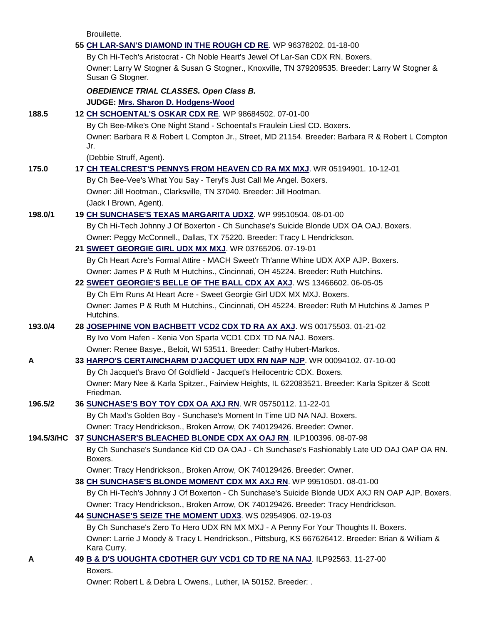Brouilette.

|            | 55 CH LAR-SAN'S DIAMOND IN THE ROUGH CD RE. WP 96378202. 01-18-00                                                                                                                        |
|------------|------------------------------------------------------------------------------------------------------------------------------------------------------------------------------------------|
|            | By Ch Hi-Tech's Aristocrat - Ch Noble Heart's Jewel Of Lar-San CDX RN. Boxers.                                                                                                           |
|            | Owner: Larry W Stogner & Susan G Stogner., Knoxville, TN 379209535. Breeder: Larry W Stogner &<br>Susan G Stogner.                                                                       |
|            | <b>OBEDIENCE TRIAL CLASSES. Open Class B.</b>                                                                                                                                            |
|            | JUDGE: Mrs. Sharon D. Hodgens-Wood                                                                                                                                                       |
| 188.5      | 12 CH SCHOENTAL'S OSKAR CDX RE. WP 98684502. 07-01-00                                                                                                                                    |
|            | By Ch Bee-Mike's One Night Stand - Schoental's Fraulein Liesl CD. Boxers.                                                                                                                |
|            | Owner: Barbara R & Robert L Compton Jr., Street, MD 21154. Breeder: Barbara R & Robert L Compton<br>Jr.                                                                                  |
|            | (Debbie Struff, Agent).                                                                                                                                                                  |
| 175.0      | 17 CH TEALCREST'S PENNYS FROM HEAVEN CD RA MX MXJ. WR 05194901. 10-12-01                                                                                                                 |
|            | By Ch Bee-Vee's What You Say - Teryl's Just Call Me Angel. Boxers.                                                                                                                       |
|            | Owner: Jill Hootman., Clarksville, TN 37040. Breeder: Jill Hootman.                                                                                                                      |
|            | (Jack I Brown, Agent).                                                                                                                                                                   |
| 198.0/1    | 19 CH SUNCHASE'S TEXAS MARGARITA UDX2. WP 99510504. 08-01-00                                                                                                                             |
|            | By Ch Hi-Tech Johnny J Of Boxerton - Ch Sunchase's Suicide Blonde UDX OA OAJ. Boxers.                                                                                                    |
|            | Owner: Peggy McConnell., Dallas, TX 75220. Breeder: Tracy L Hendrickson.                                                                                                                 |
|            | 21 SWEET GEORGIE GIRL UDX MX MXJ. WR 03765206. 07-19-01                                                                                                                                  |
|            | By Ch Heart Acre's Formal Attire - MACH Sweet'r Th'anne Whine UDX AXP AJP. Boxers.                                                                                                       |
|            | Owner: James P & Ruth M Hutchins., Cincinnati, OH 45224. Breeder: Ruth Hutchins.                                                                                                         |
|            | 22 SWEET GEORGIE'S BELLE OF THE BALL CDX AX AXJ. WS 13466602. 06-05-05<br>By Ch Elm Runs At Heart Acre - Sweet Georgie Girl UDX MX MXJ. Boxers.                                          |
|            | Owner: James P & Ruth M Hutchins., Cincinnati, OH 45224. Breeder: Ruth M Hutchins & James P                                                                                              |
|            | Hutchins.                                                                                                                                                                                |
| 193.0/4    | 28 JOSEPHINE VON BACHBETT VCD2 CDX TD RA AX AXJ. WS 00175503. 01-21-02                                                                                                                   |
|            | By Ivo Vom Hafen - Xenia Von Sparta VCD1 CDX TD NA NAJ. Boxers.                                                                                                                          |
|            | Owner: Renee Basye., Beloit, WI 53511. Breeder: Cathy Hubert-Markos.                                                                                                                     |
| A          | 33 HARPO'S CERTAINCHARM D'JACQUET UDX RN NAP NJP. WR 00094102. 07-10-00                                                                                                                  |
|            | By Ch Jacquet's Bravo Of Goldfield - Jacquet's Heilocentric CDX. Boxers.                                                                                                                 |
|            | Owner: Mary Nee & Karla Spitzer., Fairview Heights, IL 622083521. Breeder: Karla Spitzer & Scott<br>Friedman.                                                                            |
| 196.5/2    | 36 SUNCHASE'S BOY TOY CDX OA AXJ RN. WR 05750112. 11-22-01                                                                                                                               |
|            | By Ch Maxl's Golden Boy - Sunchase's Moment In Time UD NA NAJ. Boxers.                                                                                                                   |
|            | Owner: Tracy Hendrickson., Broken Arrow, OK 740129426. Breeder: Owner.                                                                                                                   |
| 194.5/3/HC | 37 SUNCHASER'S BLEACHED BLONDE CDX AX OAJ RN. ILP100396. 08-07-98                                                                                                                        |
|            | By Ch Sunchase's Sundance Kid CD OA OAJ - Ch Sunchase's Fashionably Late UD OAJ OAP OA RN.<br>Boxers.                                                                                    |
|            | Owner: Tracy Hendrickson., Broken Arrow, OK 740129426. Breeder: Owner.                                                                                                                   |
|            | 38 CH SUNCHASE'S BLONDE MOMENT CDX MX AXJ RN. WP 99510501. 08-01-00                                                                                                                      |
|            | By Ch Hi-Tech's Johnny J Of Boxerton - Ch Sunchase's Suicide Blonde UDX AXJ RN OAP AJP. Boxers.                                                                                          |
|            | Owner: Tracy Hendrickson., Broken Arrow, OK 740129426. Breeder: Tracy Hendrickson.                                                                                                       |
|            | 44 SUNCHASE'S SEIZE THE MOMENT UDX3. WS 02954906. 02-19-03                                                                                                                               |
|            | By Ch Sunchase's Zero To Hero UDX RN MX MXJ - A Penny For Your Thoughts II. Boxers.<br>Owner: Larrie J Moody & Tracy L Hendrickson., Pittsburg, KS 667626412. Breeder: Brian & William & |
|            | Kara Curry.                                                                                                                                                                              |
| Α          | 49 B & D'S UOUGHTA CDOTHER GUY VCD1 CD TD RE NA NAJ. ILP92563. 11-27-00                                                                                                                  |
|            | Boxers.                                                                                                                                                                                  |
|            |                                                                                                                                                                                          |

Owner: Robert L & Debra L Owens., Luther, IA 50152. Breeder: .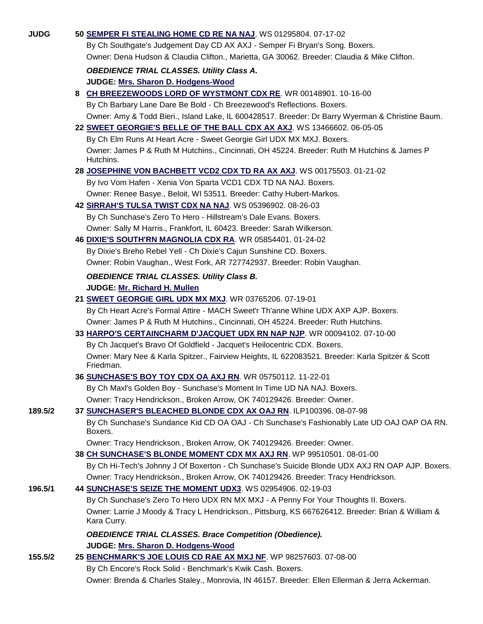| By Ch Southgate's Judgement Day CD AX AXJ - Semper Fi Bryan's Song. Boxers.                    |                                                                                                                                                                                                                                                                                                                                                                                                                                                                                                                                                                                                                                                                                                                                                                                                                                                                                                                                                                                                                                                                                                                                                                                                                                                                                                                                                                                                                                                                                                                                                                                                                                                                                                                                                                                                                                                                                                                                                                                                                                                                                                                                                                                  |
|------------------------------------------------------------------------------------------------|----------------------------------------------------------------------------------------------------------------------------------------------------------------------------------------------------------------------------------------------------------------------------------------------------------------------------------------------------------------------------------------------------------------------------------------------------------------------------------------------------------------------------------------------------------------------------------------------------------------------------------------------------------------------------------------------------------------------------------------------------------------------------------------------------------------------------------------------------------------------------------------------------------------------------------------------------------------------------------------------------------------------------------------------------------------------------------------------------------------------------------------------------------------------------------------------------------------------------------------------------------------------------------------------------------------------------------------------------------------------------------------------------------------------------------------------------------------------------------------------------------------------------------------------------------------------------------------------------------------------------------------------------------------------------------------------------------------------------------------------------------------------------------------------------------------------------------------------------------------------------------------------------------------------------------------------------------------------------------------------------------------------------------------------------------------------------------------------------------------------------------------------------------------------------------|
| Owner: Dena Hudson & Claudia Clifton., Marietta, GA 30062. Breeder: Claudia & Mike Clifton.    |                                                                                                                                                                                                                                                                                                                                                                                                                                                                                                                                                                                                                                                                                                                                                                                                                                                                                                                                                                                                                                                                                                                                                                                                                                                                                                                                                                                                                                                                                                                                                                                                                                                                                                                                                                                                                                                                                                                                                                                                                                                                                                                                                                                  |
|                                                                                                |                                                                                                                                                                                                                                                                                                                                                                                                                                                                                                                                                                                                                                                                                                                                                                                                                                                                                                                                                                                                                                                                                                                                                                                                                                                                                                                                                                                                                                                                                                                                                                                                                                                                                                                                                                                                                                                                                                                                                                                                                                                                                                                                                                                  |
|                                                                                                |                                                                                                                                                                                                                                                                                                                                                                                                                                                                                                                                                                                                                                                                                                                                                                                                                                                                                                                                                                                                                                                                                                                                                                                                                                                                                                                                                                                                                                                                                                                                                                                                                                                                                                                                                                                                                                                                                                                                                                                                                                                                                                                                                                                  |
|                                                                                                |                                                                                                                                                                                                                                                                                                                                                                                                                                                                                                                                                                                                                                                                                                                                                                                                                                                                                                                                                                                                                                                                                                                                                                                                                                                                                                                                                                                                                                                                                                                                                                                                                                                                                                                                                                                                                                                                                                                                                                                                                                                                                                                                                                                  |
|                                                                                                |                                                                                                                                                                                                                                                                                                                                                                                                                                                                                                                                                                                                                                                                                                                                                                                                                                                                                                                                                                                                                                                                                                                                                                                                                                                                                                                                                                                                                                                                                                                                                                                                                                                                                                                                                                                                                                                                                                                                                                                                                                                                                                                                                                                  |
|                                                                                                |                                                                                                                                                                                                                                                                                                                                                                                                                                                                                                                                                                                                                                                                                                                                                                                                                                                                                                                                                                                                                                                                                                                                                                                                                                                                                                                                                                                                                                                                                                                                                                                                                                                                                                                                                                                                                                                                                                                                                                                                                                                                                                                                                                                  |
|                                                                                                |                                                                                                                                                                                                                                                                                                                                                                                                                                                                                                                                                                                                                                                                                                                                                                                                                                                                                                                                                                                                                                                                                                                                                                                                                                                                                                                                                                                                                                                                                                                                                                                                                                                                                                                                                                                                                                                                                                                                                                                                                                                                                                                                                                                  |
|                                                                                                |                                                                                                                                                                                                                                                                                                                                                                                                                                                                                                                                                                                                                                                                                                                                                                                                                                                                                                                                                                                                                                                                                                                                                                                                                                                                                                                                                                                                                                                                                                                                                                                                                                                                                                                                                                                                                                                                                                                                                                                                                                                                                                                                                                                  |
|                                                                                                |                                                                                                                                                                                                                                                                                                                                                                                                                                                                                                                                                                                                                                                                                                                                                                                                                                                                                                                                                                                                                                                                                                                                                                                                                                                                                                                                                                                                                                                                                                                                                                                                                                                                                                                                                                                                                                                                                                                                                                                                                                                                                                                                                                                  |
| Hutchins.                                                                                      |                                                                                                                                                                                                                                                                                                                                                                                                                                                                                                                                                                                                                                                                                                                                                                                                                                                                                                                                                                                                                                                                                                                                                                                                                                                                                                                                                                                                                                                                                                                                                                                                                                                                                                                                                                                                                                                                                                                                                                                                                                                                                                                                                                                  |
|                                                                                                |                                                                                                                                                                                                                                                                                                                                                                                                                                                                                                                                                                                                                                                                                                                                                                                                                                                                                                                                                                                                                                                                                                                                                                                                                                                                                                                                                                                                                                                                                                                                                                                                                                                                                                                                                                                                                                                                                                                                                                                                                                                                                                                                                                                  |
| By Ivo Vom Hafen - Xenia Von Sparta VCD1 CDX TD NA NAJ. Boxers.                                |                                                                                                                                                                                                                                                                                                                                                                                                                                                                                                                                                                                                                                                                                                                                                                                                                                                                                                                                                                                                                                                                                                                                                                                                                                                                                                                                                                                                                                                                                                                                                                                                                                                                                                                                                                                                                                                                                                                                                                                                                                                                                                                                                                                  |
| Owner: Renee Basye., Beloit, WI 53511. Breeder: Cathy Hubert-Markos.                           |                                                                                                                                                                                                                                                                                                                                                                                                                                                                                                                                                                                                                                                                                                                                                                                                                                                                                                                                                                                                                                                                                                                                                                                                                                                                                                                                                                                                                                                                                                                                                                                                                                                                                                                                                                                                                                                                                                                                                                                                                                                                                                                                                                                  |
|                                                                                                |                                                                                                                                                                                                                                                                                                                                                                                                                                                                                                                                                                                                                                                                                                                                                                                                                                                                                                                                                                                                                                                                                                                                                                                                                                                                                                                                                                                                                                                                                                                                                                                                                                                                                                                                                                                                                                                                                                                                                                                                                                                                                                                                                                                  |
| By Ch Sunchase's Zero To Hero - Hillstream's Dale Evans. Boxers.                               |                                                                                                                                                                                                                                                                                                                                                                                                                                                                                                                                                                                                                                                                                                                                                                                                                                                                                                                                                                                                                                                                                                                                                                                                                                                                                                                                                                                                                                                                                                                                                                                                                                                                                                                                                                                                                                                                                                                                                                                                                                                                                                                                                                                  |
|                                                                                                |                                                                                                                                                                                                                                                                                                                                                                                                                                                                                                                                                                                                                                                                                                                                                                                                                                                                                                                                                                                                                                                                                                                                                                                                                                                                                                                                                                                                                                                                                                                                                                                                                                                                                                                                                                                                                                                                                                                                                                                                                                                                                                                                                                                  |
|                                                                                                |                                                                                                                                                                                                                                                                                                                                                                                                                                                                                                                                                                                                                                                                                                                                                                                                                                                                                                                                                                                                                                                                                                                                                                                                                                                                                                                                                                                                                                                                                                                                                                                                                                                                                                                                                                                                                                                                                                                                                                                                                                                                                                                                                                                  |
| By Dixie's Breho Rebel Yell - Ch Dixie's Cajun Sunshine CD. Boxers.                            |                                                                                                                                                                                                                                                                                                                                                                                                                                                                                                                                                                                                                                                                                                                                                                                                                                                                                                                                                                                                                                                                                                                                                                                                                                                                                                                                                                                                                                                                                                                                                                                                                                                                                                                                                                                                                                                                                                                                                                                                                                                                                                                                                                                  |
| Owner: Robin Vaughan., West Fork, AR 727742937. Breeder: Robin Vaughan.                        |                                                                                                                                                                                                                                                                                                                                                                                                                                                                                                                                                                                                                                                                                                                                                                                                                                                                                                                                                                                                                                                                                                                                                                                                                                                                                                                                                                                                                                                                                                                                                                                                                                                                                                                                                                                                                                                                                                                                                                                                                                                                                                                                                                                  |
|                                                                                                |                                                                                                                                                                                                                                                                                                                                                                                                                                                                                                                                                                                                                                                                                                                                                                                                                                                                                                                                                                                                                                                                                                                                                                                                                                                                                                                                                                                                                                                                                                                                                                                                                                                                                                                                                                                                                                                                                                                                                                                                                                                                                                                                                                                  |
|                                                                                                |                                                                                                                                                                                                                                                                                                                                                                                                                                                                                                                                                                                                                                                                                                                                                                                                                                                                                                                                                                                                                                                                                                                                                                                                                                                                                                                                                                                                                                                                                                                                                                                                                                                                                                                                                                                                                                                                                                                                                                                                                                                                                                                                                                                  |
|                                                                                                |                                                                                                                                                                                                                                                                                                                                                                                                                                                                                                                                                                                                                                                                                                                                                                                                                                                                                                                                                                                                                                                                                                                                                                                                                                                                                                                                                                                                                                                                                                                                                                                                                                                                                                                                                                                                                                                                                                                                                                                                                                                                                                                                                                                  |
|                                                                                                |                                                                                                                                                                                                                                                                                                                                                                                                                                                                                                                                                                                                                                                                                                                                                                                                                                                                                                                                                                                                                                                                                                                                                                                                                                                                                                                                                                                                                                                                                                                                                                                                                                                                                                                                                                                                                                                                                                                                                                                                                                                                                                                                                                                  |
|                                                                                                |                                                                                                                                                                                                                                                                                                                                                                                                                                                                                                                                                                                                                                                                                                                                                                                                                                                                                                                                                                                                                                                                                                                                                                                                                                                                                                                                                                                                                                                                                                                                                                                                                                                                                                                                                                                                                                                                                                                                                                                                                                                                                                                                                                                  |
|                                                                                                |                                                                                                                                                                                                                                                                                                                                                                                                                                                                                                                                                                                                                                                                                                                                                                                                                                                                                                                                                                                                                                                                                                                                                                                                                                                                                                                                                                                                                                                                                                                                                                                                                                                                                                                                                                                                                                                                                                                                                                                                                                                                                                                                                                                  |
|                                                                                                |                                                                                                                                                                                                                                                                                                                                                                                                                                                                                                                                                                                                                                                                                                                                                                                                                                                                                                                                                                                                                                                                                                                                                                                                                                                                                                                                                                                                                                                                                                                                                                                                                                                                                                                                                                                                                                                                                                                                                                                                                                                                                                                                                                                  |
|                                                                                                |                                                                                                                                                                                                                                                                                                                                                                                                                                                                                                                                                                                                                                                                                                                                                                                                                                                                                                                                                                                                                                                                                                                                                                                                                                                                                                                                                                                                                                                                                                                                                                                                                                                                                                                                                                                                                                                                                                                                                                                                                                                                                                                                                                                  |
| Friedman.                                                                                      |                                                                                                                                                                                                                                                                                                                                                                                                                                                                                                                                                                                                                                                                                                                                                                                                                                                                                                                                                                                                                                                                                                                                                                                                                                                                                                                                                                                                                                                                                                                                                                                                                                                                                                                                                                                                                                                                                                                                                                                                                                                                                                                                                                                  |
|                                                                                                |                                                                                                                                                                                                                                                                                                                                                                                                                                                                                                                                                                                                                                                                                                                                                                                                                                                                                                                                                                                                                                                                                                                                                                                                                                                                                                                                                                                                                                                                                                                                                                                                                                                                                                                                                                                                                                                                                                                                                                                                                                                                                                                                                                                  |
| By Ch Maxl's Golden Boy - Sunchase's Moment In Time UD NA NAJ. Boxers.                         |                                                                                                                                                                                                                                                                                                                                                                                                                                                                                                                                                                                                                                                                                                                                                                                                                                                                                                                                                                                                                                                                                                                                                                                                                                                                                                                                                                                                                                                                                                                                                                                                                                                                                                                                                                                                                                                                                                                                                                                                                                                                                                                                                                                  |
| Owner: Tracy Hendrickson., Broken Arrow, OK 740129426. Breeder: Owner.                         |                                                                                                                                                                                                                                                                                                                                                                                                                                                                                                                                                                                                                                                                                                                                                                                                                                                                                                                                                                                                                                                                                                                                                                                                                                                                                                                                                                                                                                                                                                                                                                                                                                                                                                                                                                                                                                                                                                                                                                                                                                                                                                                                                                                  |
|                                                                                                |                                                                                                                                                                                                                                                                                                                                                                                                                                                                                                                                                                                                                                                                                                                                                                                                                                                                                                                                                                                                                                                                                                                                                                                                                                                                                                                                                                                                                                                                                                                                                                                                                                                                                                                                                                                                                                                                                                                                                                                                                                                                                                                                                                                  |
| Boxers.                                                                                        |                                                                                                                                                                                                                                                                                                                                                                                                                                                                                                                                                                                                                                                                                                                                                                                                                                                                                                                                                                                                                                                                                                                                                                                                                                                                                                                                                                                                                                                                                                                                                                                                                                                                                                                                                                                                                                                                                                                                                                                                                                                                                                                                                                                  |
| Owner: Tracy Hendrickson., Broken Arrow, OK 740129426. Breeder: Owner.                         |                                                                                                                                                                                                                                                                                                                                                                                                                                                                                                                                                                                                                                                                                                                                                                                                                                                                                                                                                                                                                                                                                                                                                                                                                                                                                                                                                                                                                                                                                                                                                                                                                                                                                                                                                                                                                                                                                                                                                                                                                                                                                                                                                                                  |
|                                                                                                |                                                                                                                                                                                                                                                                                                                                                                                                                                                                                                                                                                                                                                                                                                                                                                                                                                                                                                                                                                                                                                                                                                                                                                                                                                                                                                                                                                                                                                                                                                                                                                                                                                                                                                                                                                                                                                                                                                                                                                                                                                                                                                                                                                                  |
|                                                                                                |                                                                                                                                                                                                                                                                                                                                                                                                                                                                                                                                                                                                                                                                                                                                                                                                                                                                                                                                                                                                                                                                                                                                                                                                                                                                                                                                                                                                                                                                                                                                                                                                                                                                                                                                                                                                                                                                                                                                                                                                                                                                                                                                                                                  |
| Owner: Tracy Hendrickson., Broken Arrow, OK 740129426. Breeder: Tracy Hendrickson.             |                                                                                                                                                                                                                                                                                                                                                                                                                                                                                                                                                                                                                                                                                                                                                                                                                                                                                                                                                                                                                                                                                                                                                                                                                                                                                                                                                                                                                                                                                                                                                                                                                                                                                                                                                                                                                                                                                                                                                                                                                                                                                                                                                                                  |
|                                                                                                |                                                                                                                                                                                                                                                                                                                                                                                                                                                                                                                                                                                                                                                                                                                                                                                                                                                                                                                                                                                                                                                                                                                                                                                                                                                                                                                                                                                                                                                                                                                                                                                                                                                                                                                                                                                                                                                                                                                                                                                                                                                                                                                                                                                  |
| By Ch Sunchase's Zero To Hero UDX RN MX MXJ - A Penny For Your Thoughts II. Boxers.            |                                                                                                                                                                                                                                                                                                                                                                                                                                                                                                                                                                                                                                                                                                                                                                                                                                                                                                                                                                                                                                                                                                                                                                                                                                                                                                                                                                                                                                                                                                                                                                                                                                                                                                                                                                                                                                                                                                                                                                                                                                                                                                                                                                                  |
| Kara Curry.                                                                                    |                                                                                                                                                                                                                                                                                                                                                                                                                                                                                                                                                                                                                                                                                                                                                                                                                                                                                                                                                                                                                                                                                                                                                                                                                                                                                                                                                                                                                                                                                                                                                                                                                                                                                                                                                                                                                                                                                                                                                                                                                                                                                                                                                                                  |
| <b>OBEDIENCE TRIAL CLASSES. Brace Competition (Obedience).</b>                                 |                                                                                                                                                                                                                                                                                                                                                                                                                                                                                                                                                                                                                                                                                                                                                                                                                                                                                                                                                                                                                                                                                                                                                                                                                                                                                                                                                                                                                                                                                                                                                                                                                                                                                                                                                                                                                                                                                                                                                                                                                                                                                                                                                                                  |
| JUDGE: Mrs. Sharon D. Hodgens-Wood                                                             |                                                                                                                                                                                                                                                                                                                                                                                                                                                                                                                                                                                                                                                                                                                                                                                                                                                                                                                                                                                                                                                                                                                                                                                                                                                                                                                                                                                                                                                                                                                                                                                                                                                                                                                                                                                                                                                                                                                                                                                                                                                                                                                                                                                  |
|                                                                                                |                                                                                                                                                                                                                                                                                                                                                                                                                                                                                                                                                                                                                                                                                                                                                                                                                                                                                                                                                                                                                                                                                                                                                                                                                                                                                                                                                                                                                                                                                                                                                                                                                                                                                                                                                                                                                                                                                                                                                                                                                                                                                                                                                                                  |
| By Ch Encore's Rock Solid - Benchmark's Kwik Cash. Boxers.                                     |                                                                                                                                                                                                                                                                                                                                                                                                                                                                                                                                                                                                                                                                                                                                                                                                                                                                                                                                                                                                                                                                                                                                                                                                                                                                                                                                                                                                                                                                                                                                                                                                                                                                                                                                                                                                                                                                                                                                                                                                                                                                                                                                                                                  |
| Owner: Brenda & Charles Staley., Monrovia, IN 46157. Breeder: Ellen Ellerman & Jerra Ackerman. |                                                                                                                                                                                                                                                                                                                                                                                                                                                                                                                                                                                                                                                                                                                                                                                                                                                                                                                                                                                                                                                                                                                                                                                                                                                                                                                                                                                                                                                                                                                                                                                                                                                                                                                                                                                                                                                                                                                                                                                                                                                                                                                                                                                  |
|                                                                                                | 50 SEMPER FI STEALING HOME CD RE NA NAJ. WS 01295804. 07-17-02<br><b>OBEDIENCE TRIAL CLASSES. Utility Class A.</b><br>JUDGE: Mrs. Sharon D. Hodgens-Wood<br>8 CH BREEZEWOODS LORD OF WYSTMONT CDX RE. WR 00148901. 10-16-00<br>By Ch Barbary Lane Dare Be Bold - Ch Breezewood's Reflections. Boxers.<br>Owner: Amy & Todd Bieri., Island Lake, IL 600428517. Breeder: Dr Barry Wyerman & Christine Baum.<br>22 SWEET GEORGIE'S BELLE OF THE BALL CDX AX AXJ. WS 13466602. 06-05-05<br>By Ch Elm Runs At Heart Acre - Sweet Georgie Girl UDX MX MXJ. Boxers.<br>Owner: James P & Ruth M Hutchins., Cincinnati, OH 45224. Breeder: Ruth M Hutchins & James P<br>28 JOSEPHINE VON BACHBETT VCD2 CDX TD RA AX AXJ. WS 00175503. 01-21-02<br>42 SIRRAH'S TULSA TWIST CDX NA NAJ. WS 05396902. 08-26-03<br>Owner: Sally M Harris., Frankfort, IL 60423. Breeder: Sarah Wilkerson.<br>46 DIXIE'S SOUTH'RN MAGNOLIA CDX RA. WR 05854401. 01-24-02<br><b>OBEDIENCE TRIAL CLASSES. Utility Class B.</b><br>JUDGE: Mr. Richard H. Mullen<br>21 SWEET GEORGIE GIRL UDX MX MXJ. WR 03765206. 07-19-01<br>By Ch Heart Acre's Formal Attire - MACH Sweet'r Th'anne Whine UDX AXP AJP. Boxers.<br>Owner: James P & Ruth M Hutchins., Cincinnati, OH 45224. Breeder: Ruth Hutchins.<br>33 HARPO'S CERTAINCHARM D'JACQUET UDX RN NAP NJP. WR 00094102. 07-10-00<br>By Ch Jacquet's Bravo Of Goldfield - Jacquet's Heilocentric CDX. Boxers.<br>Owner: Mary Nee & Karla Spitzer., Fairview Heights, IL 622083521. Breeder: Karla Spitzer & Scott<br>36 SUNCHASE'S BOY TOY CDX OA AXJ RN. WR 05750112. 11-22-01<br>37 SUNCHASER'S BLEACHED BLONDE CDX AX OAJ RN. ILP100396. 08-07-98<br>By Ch Sunchase's Sundance Kid CD OA OAJ - Ch Sunchase's Fashionably Late UD OAJ OAP OA RN.<br>38 CH SUNCHASE'S BLONDE MOMENT CDX MX AXJ RN. WP 99510501. 08-01-00<br>By Ch Hi-Tech's Johnny J Of Boxerton - Ch Sunchase's Suicide Blonde UDX AXJ RN OAP AJP. Boxers.<br>44 SUNCHASE'S SEIZE THE MOMENT UDX3. WS 02954906. 02-19-03<br>Owner: Larrie J Moody & Tracy L Hendrickson., Pittsburg, KS 667626412. Breeder: Brian & William &<br>25 BENCHMARK'S JOE LOUIS CD RAE AX MXJ NF. WP 98257603. 07-08-00 |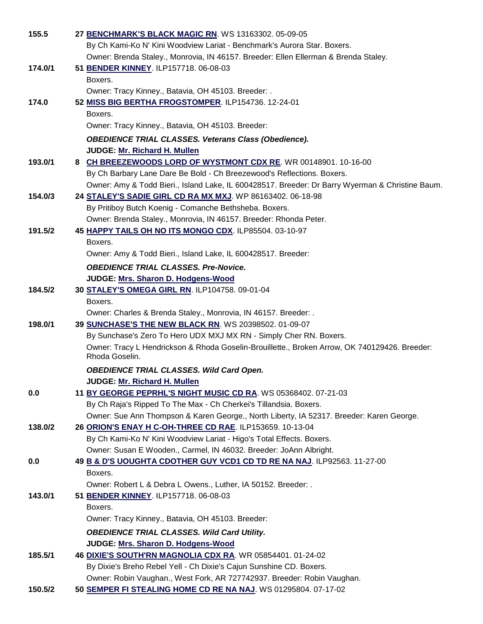| 155.5   | 27 BENCHMARK'S BLACK MAGIC RN. WS 13163302. 05-09-05<br>By Ch Kami-Ko N' Kini Woodview Lariat - Benchmark's Aurora Star. Boxers. |
|---------|----------------------------------------------------------------------------------------------------------------------------------|
|         | Owner: Brenda Staley., Monrovia, IN 46157. Breeder: Ellen Ellerman & Brenda Staley.                                              |
| 174.0/1 | 51 BENDER KINNEY. ILP157718. 06-08-03                                                                                            |
|         | Boxers.                                                                                                                          |
|         | Owner: Tracy Kinney., Batavia, OH 45103. Breeder: .                                                                              |
| 174.0   | 52 MISS BIG BERTHA FROGSTOMPER. ILP154736. 12-24-01                                                                              |
|         | Boxers.                                                                                                                          |
|         | Owner: Tracy Kinney., Batavia, OH 45103. Breeder:                                                                                |
|         | <b>OBEDIENCE TRIAL CLASSES. Veterans Class (Obedience).</b>                                                                      |
|         | JUDGE: Mr. Richard H. Mullen                                                                                                     |
| 193.0/1 | 8 CH BREEZEWOODS LORD OF WYSTMONT CDX RE. WR 00148901. 10-16-00                                                                  |
|         | By Ch Barbary Lane Dare Be Bold - Ch Breezewood's Reflections. Boxers.                                                           |
|         | Owner: Amy & Todd Bieri., Island Lake, IL 600428517. Breeder: Dr Barry Wyerman & Christine Baum.                                 |
| 154.0/3 | 24 STALEY'S SADIE GIRL CD RA MX MXJ. WP 86163402. 06-18-98                                                                       |
|         | By Pritiboy Butch Koenig - Comanche Bethsheba. Boxers.                                                                           |
|         | Owner: Brenda Staley., Monrovia, IN 46157. Breeder: Rhonda Peter.                                                                |
| 191.5/2 | 45 HAPPY TAILS OH NO ITS MONGO CDX. ILP85504. 03-10-97                                                                           |
|         | Boxers.                                                                                                                          |
|         | Owner: Amy & Todd Bieri., Island Lake, IL 600428517. Breeder:                                                                    |
|         | <b>OBEDIENCE TRIAL CLASSES. Pre-Novice.</b>                                                                                      |
|         | JUDGE: Mrs. Sharon D. Hodgens-Wood                                                                                               |
| 184.5/2 | 30 STALEY'S OMEGA GIRL RN. ILP104758. 09-01-04                                                                                   |
|         | Boxers.                                                                                                                          |
|         | Owner: Charles & Brenda Staley., Monrovia, IN 46157. Breeder: .                                                                  |
| 198.0/1 | 39 SUNCHASE'S THE NEW BLACK RN. WS 20398502. 01-09-07<br>By Sunchase's Zero To Hero UDX MXJ MX RN - Simply Cher RN. Boxers.      |
|         | Owner: Tracy L Hendrickson & Rhoda Goselin-Brouillette., Broken Arrow, OK 740129426. Breeder:                                    |
|         | Rhoda Goselin.                                                                                                                   |
|         | <b>OBEDIENCE TRIAL CLASSES. Wild Card Open.</b>                                                                                  |
|         | JUDGE: Mr. Richard H. Mullen                                                                                                     |
| 0.0     | 11 BY GEORGE PEPRHL'S NIGHT MUSIC CD RA. WS 05368402. 07-21-03                                                                   |
|         | By Ch Raja's Ripped To The Max - Ch Cherkei's Tillandsia. Boxers.                                                                |
|         | Owner: Sue Ann Thompson & Karen George., North Liberty, IA 52317. Breeder: Karen George.                                         |
| 138.0/2 | 26 ORION'S ENAY H C-OH-THREE CD RAE. ILP153659. 10-13-04                                                                         |
|         | By Ch Kami-Ko N' Kini Woodview Lariat - Higo's Total Effects. Boxers.                                                            |
|         | Owner: Susan E Wooden., Carmel, IN 46032. Breeder: JoAnn Albright.                                                               |
| 0.0     | 49 B & D'S UOUGHTA CDOTHER GUY VCD1 CD TD RE NA NAJ. ILP92563. 11-27-00                                                          |
|         | Boxers.                                                                                                                          |
|         | Owner: Robert L & Debra L Owens., Luther, IA 50152. Breeder: .                                                                   |
| 143.0/1 | 51 BENDER KINNEY. ILP157718. 06-08-03                                                                                            |
|         | Boxers.                                                                                                                          |
|         | Owner: Tracy Kinney., Batavia, OH 45103. Breeder:                                                                                |
|         | <b>OBEDIENCE TRIAL CLASSES. Wild Card Utility.</b>                                                                               |
|         | JUDGE: Mrs. Sharon D. Hodgens-Wood                                                                                               |
| 185.5/1 | 46 DIXIE'S SOUTH'RN MAGNOLIA CDX RA. WR 05854401. 01-24-02                                                                       |
|         | By Dixie's Breho Rebel Yell - Ch Dixie's Cajun Sunshine CD. Boxers.                                                              |
|         | Owner: Robin Vaughan., West Fork, AR 727742937. Breeder: Robin Vaughan.                                                          |
| 150.5/2 | 50 SEMPER FI STEALING HOME CD RE NA NAJ. WS 01295804. 07-17-02                                                                   |